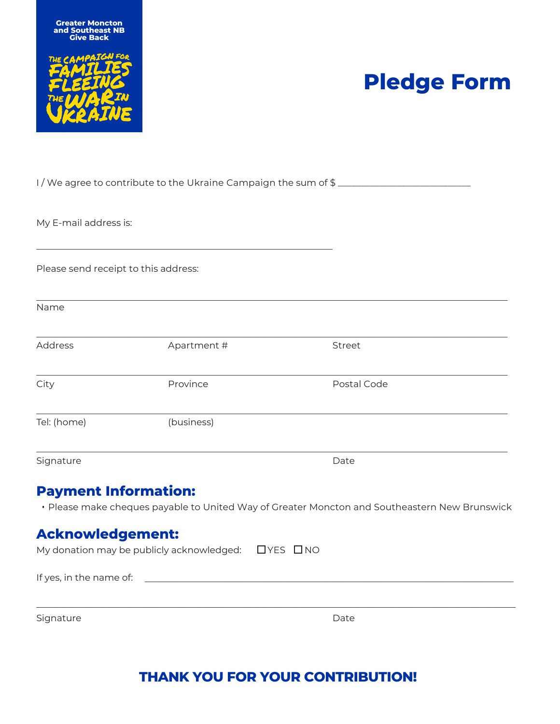



# **Pledge Form**

|                                      |                                                       | I/We agree to contribute to the Ukraine Campaign the sum of \$                                |
|--------------------------------------|-------------------------------------------------------|-----------------------------------------------------------------------------------------------|
| My E-mail address is:                |                                                       |                                                                                               |
| Please send receipt to this address: |                                                       |                                                                                               |
| Name                                 |                                                       |                                                                                               |
| <b>Address</b>                       | Apartment #                                           | Street                                                                                        |
| City                                 | Province                                              | Postal Code                                                                                   |
| Tel: (home)                          | (business)                                            |                                                                                               |
| Signature                            |                                                       | Date                                                                                          |
| <b>Payment Information:</b>          |                                                       | • Please make cheques payable to United Way of Greater Moncton and Southeastern New Brunswick |
| <b>Acknowledgement:</b>              |                                                       |                                                                                               |
|                                      | My donation may be publicly acknowledged:<br>UYES UNO |                                                                                               |
| If yes, in the name of:              |                                                       |                                                                                               |
| Signature                            |                                                       | Date                                                                                          |

### **THANK YOU FOR YOUR CONTRIBUTION!**